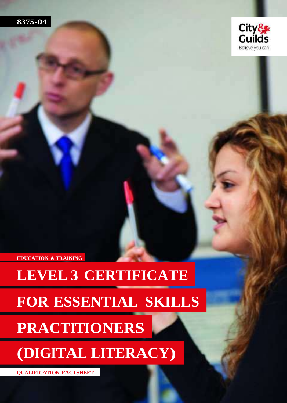



**EDUCATION & TRAINING**

# **LEVEL 3 CERTIFICATE**

# **FOR ESSENTIAL SKILLS**

### **PRACTITIONERS**

# **(DIGITAL LITERACY)**

**QUALIFICATION FACTSHEET**